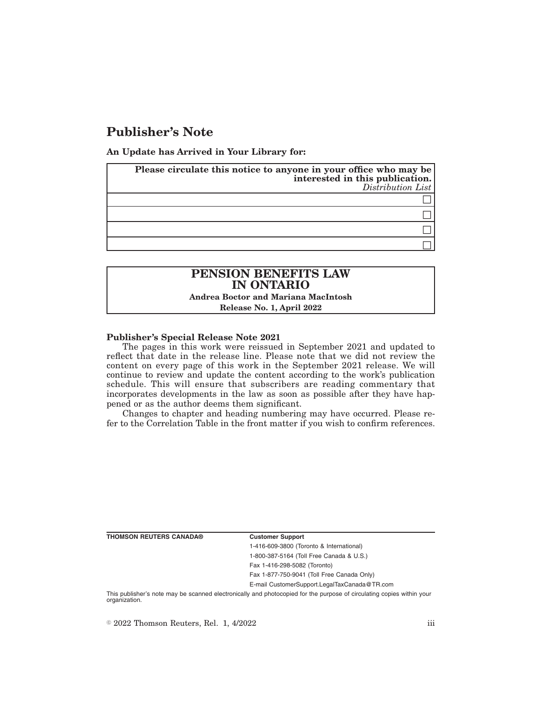# **Publisher's Note**

**An Update has Arrived in Your Library for:**

| Please circulate this notice to anyone in your office who may be<br>interested in this publication.<br>Distribution List |
|--------------------------------------------------------------------------------------------------------------------------|
|                                                                                                                          |
|                                                                                                                          |
|                                                                                                                          |
|                                                                                                                          |

## **PENSION BENEFITS LAW IN ONTARIO Andrea Boctor and Mariana MacIntosh**

**Release No. 1, April 2022**

#### **Publisher's Special Release Note 2021**

The pages in this work were reissued in September 2021 and updated to reflect that date in the release line. Please note that we did not review the content on every page of this work in the September 2021 release. We will continue to review and update the content according to the work's publication schedule. This will ensure that subscribers are reading commentary that incorporates developments in the law as soon as possible after they have happened or as the author deems them significant.

Changes to chapter and heading numbering may have occurred. Please refer to the Correlation Table in the front matter if you wish to confirm references.

**THOMSON REUTERS CANADA® Customer Support**

1-416-609-3800 (Toronto & International) 1-800-387-5164 (Toll Free Canada & U.S.) Fax 1-416-298-5082 (Toronto)

Fax 1-877-750-9041 (Toll Free Canada Only)

E-mail CustomerSupport.LegalTaxCanada@TR.com

This publisher's note may be scanned electronically and photocopied for the purpose of circulating copies within your organization.

 $\degree$  2022 Thomson Reuters, Rel. 1, 4/2022 iii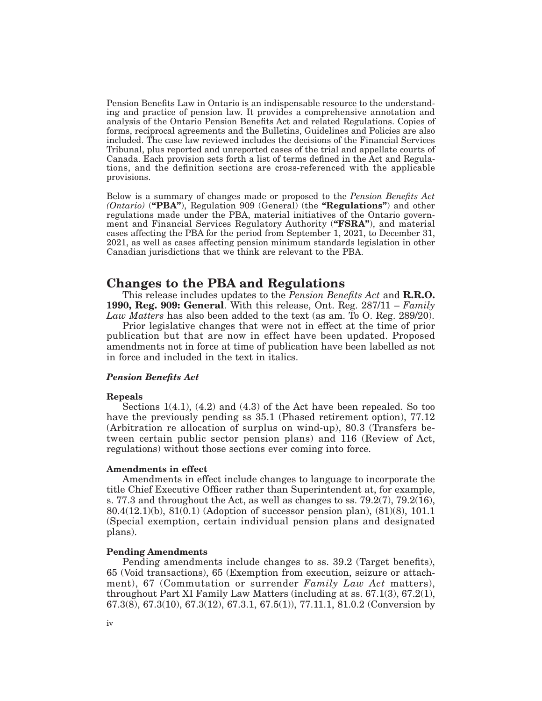Pension Benefits Law in Ontario is an indispensable resource to the understanding and practice of pension law. It provides a comprehensive annotation and analysis of the Ontario Pension Benefits Act and related Regulations. Copies of forms, reciprocal agreements and the Bulletins, Guidelines and Policies are also included. The case law reviewed includes the decisions of the Financial Services Tribunal, plus reported and unreported cases of the trial and appellate courts of Canada. Each provision sets forth a list of terms defined in the Act and Regulations, and the definition sections are cross-referenced with the applicable provisions.

Below is a summary of changes made or proposed to the *Pension Benefits Act (Ontario)* (**"PBA"**), Regulation 909 (General) (the **"Regulations"**) and other regulations made under the PBA, material initiatives of the Ontario government and Financial Services Regulatory Authority (**"FSRA"**), and material cases affecting the PBA for the period from September 1, 2021, to December 31, 2021, as well as cases affecting pension minimum standards legislation in other Canadian jurisdictions that we think are relevant to the PBA.

# **Changes to the PBA and Regulations**

This release includes updates to the *Pension Benefits Act* and **R.R.O. 1990, Reg. 909: General**. With this release, Ont. Reg. 287/11 – *Family Law Matters* has also been added to the text (as am. To O. Reg. 289/20).

Prior legislative changes that were not in effect at the time of prior publication but that are now in effect have been updated. Proposed amendments not in force at time of publication have been labelled as not in force and included in the text in italics.

#### *Pension Benefits Act*

#### **Repeals**

Sections 1(4.1), (4.2) and (4.3) of the Act have been repealed. So too have the previously pending ss 35.1 (Phased retirement option), 77.12 (Arbitration re allocation of surplus on wind-up), 80.3 (Transfers between certain public sector pension plans) and 116 (Review of Act, regulations) without those sections ever coming into force.

#### **Amendments in effect**

Amendments in effect include changes to language to incorporate the title Chief Executive Officer rather than Superintendent at, for example, s. 77.3 and throughout the Act, as well as changes to ss.  $79.2(7)$ ,  $79.2(16)$ , 80.4(12.1)(b), 81(0.1) (Adoption of successor pension plan), (81)(8), 101.1 (Special exemption, certain individual pension plans and designated plans).

#### **Pending Amendments**

Pending amendments include changes to ss. 39.2 (Target benefits), 65 (Void transactions), 65 (Exemption from execution, seizure or attachment), 67 (Commutation or surrender *Family Law Act* matters), throughout Part XI Family Law Matters (including at ss. 67.1(3), 67.2(1), 67.3(8), 67.3(10), 67.3(12), 67.3.1, 67.5(1)), 77.11.1, 81.0.2 (Conversion by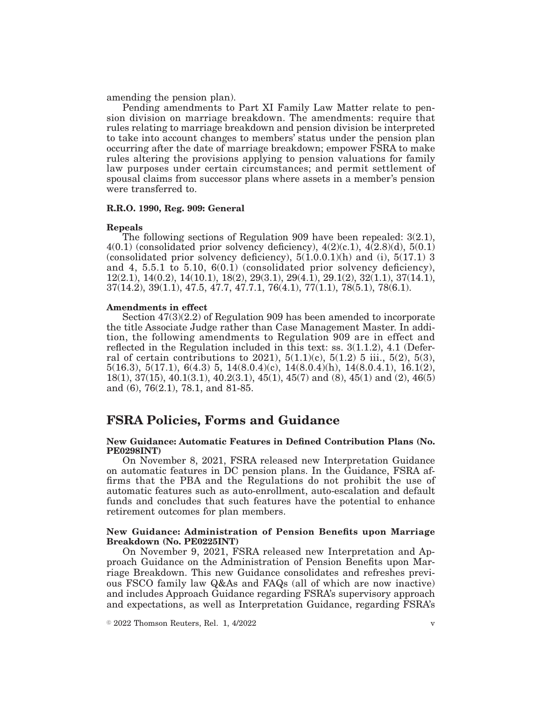amending the pension plan).

Pending amendments to Part XI Family Law Matter relate to pension division on marriage breakdown. The amendments: require that rules relating to marriage breakdown and pension division be interpreted to take into account changes to members' status under the pension plan occurring after the date of marriage breakdown; empower FSRA to make rules altering the provisions applying to pension valuations for family law purposes under certain circumstances; and permit settlement of spousal claims from successor plans where assets in a member's pension were transferred to.

#### **R.R.O. 1990, Reg. 909: General**

#### **Repeals**

The following sections of Regulation 909 have been repealed: 3(2.1),  $4(0.1)$  (consolidated prior solvency deficiency),  $4(2)(c.1)$ ,  $4(2.8)(d)$ ,  $5(0.1)$ (consolidated prior solvency deficiency),  $5(1.0.0.1)(h)$  and (i),  $5(17.1)$  3 and 4, 5.5.1 to 5.10, 6(0.1) (consolidated prior solvency deficiency), 12(2.1), 14(0.2), 14(10.1), 18(2), 29(3.1), 29(4.1), 29.1(2), 32(1.1), 37(14.1),  $37(14.2), 39(1.1), 47.5, 47.7, 47.7.1, 76(4.1), 77(1.1), 78(5.1), 78(6.1).$ 

#### **Amendments in effect**

Section 47(3)(2.2) of Regulation 909 has been amended to incorporate the title Associate Judge rather than Case Management Master. In addition, the following amendments to Regulation 909 are in effect and reflected in the Regulation included in this text: ss. 3(1.1.2), 4.1 (Deferral of certain contributions to 2021),  $5(1.1)(c)$ ,  $5(1.2)$  5 iii.,  $5(2)$ ,  $5(3)$ ,  $5(16.3), 5(17.1), 6(4.3), 5, 14(8.0.4)(c), 14(8.0.4)(h), 14(8.0.4.1), 16.1(2),$ 18(1), 37(15), 40.1(3.1), 40.2(3.1), 45(1), 45(7) and (8), 45(1) and (2), 46(5) and (6), 76(2.1), 78.1, and 81-85.

# **FSRA Policies, Forms and Guidance**

#### **New Guidance: Automatic Features in Defined Contribution Plans (No. PE0298INT)**

On November 8, 2021, FSRA released new Interpretation Guidance on automatic features in DC pension plans. In the Guidance, FSRA affirms that the PBA and the Regulations do not prohibit the use of automatic features such as auto-enrollment, auto-escalation and default funds and concludes that such features have the potential to enhance retirement outcomes for plan members.

#### **New Guidance: Administration of Pension Benefits upon Marriage Breakdown (No. PE0225INT)**

On November 9, 2021, FSRA released new Interpretation and Approach Guidance on the Administration of Pension Benefits upon Marriage Breakdown. This new Guidance consolidates and refreshes previous FSCO family law Q&As and FAQs (all of which are now inactive) and includes Approach Guidance regarding FSRA's supervisory approach and expectations, as well as Interpretation Guidance, regarding FSRA's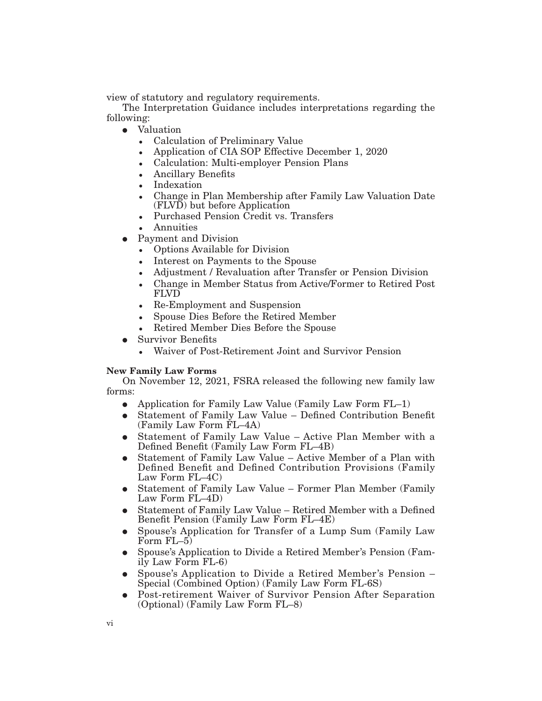view of statutory and regulatory requirements.

The Interpretation Guidance includes interpretations regarding the following:

- Valuation
	- Calculation of Preliminary Value
	- Application of CIA SOP Effective December 1, 2020
	- Calculation: Multi-employer Pension Plans
	- Ancillary Benefits
	- Indexation
	- - Change in Plan Membership after Family Law Valuation Date (FLVD) but before Application
	- -Purchased Pension Credit vs. Transfers
	- -Annuities
- Payment and Division
	- Options Available for Division
	- Interest on Payments to the Spouse
	- Adjustment / Revaluation after Transfer or Pension Division
	- - Change in Member Status from Active/Former to Retired Post FLVD
	- Re-Employment and Suspension
	- Spouse Dies Before the Retired Member
	- -Retired Member Dies Before the Spouse
- **Survivor Benefits** 
	- -Waiver of Post-Retirement Joint and Survivor Pension

#### **New Family Law Forms**

On November 12, 2021, FSRA released the following new family law forms:

- Application for Family Law Value (Family Law Form  $FL-1$ )
- E Statement of Family Law Value Defined Contribution Benefit (Family Law Form FL–4A)
- E Statement of Family Law Value Active Plan Member with a Defined Benefit (Family Law Form FL–4B)
- E Statement of Family Law Value Active Member of a Plan with Defined Benefit and Defined Contribution Provisions (Family Law Form FL–4C)
- Statement of Family Law Value Former Plan Member (Family Law Form FL–4D)
- Statement of Family Law Value Retired Member with a Defined Benefit Pension (Family Law Form FL–4E)
- E Spouse's Application for Transfer of a Lump Sum (Family Law Form FL–5)
- E Spouse's Application to Divide a Retired Member's Pension (Family Law Form FL-6)
- Spouse's Application to Divide a Retired Member's Pension Special (Combined Option) (Family Law Form FL-6S)
- Post-retirement Waiver of Survivor Pension After Separation (Optional) (Family Law Form FL–8)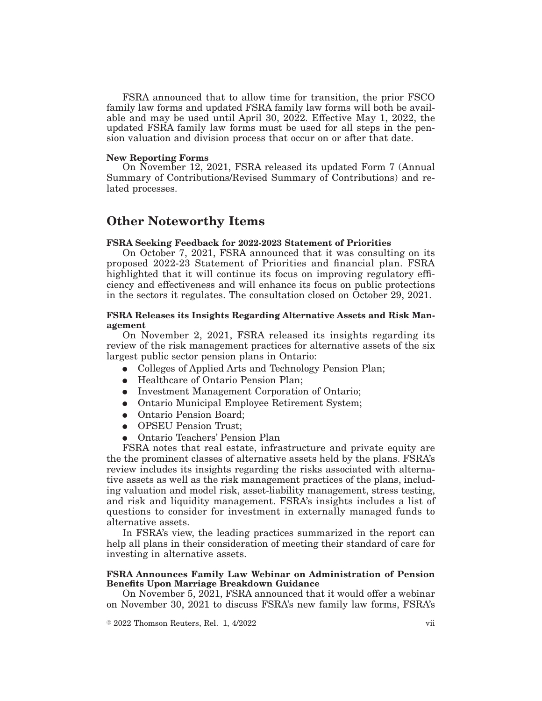FSRA announced that to allow time for transition, the prior FSCO family law forms and updated FSRA family law forms will both be available and may be used until April 30, 2022. Effective May 1, 2022, the updated FSRA family law forms must be used for all steps in the pension valuation and division process that occur on or after that date.

#### **New Reporting Forms**

On November 12, 2021, FSRA released its updated Form 7 (Annual Summary of Contributions/Revised Summary of Contributions) and related processes.

# **Other Noteworthy Items**

## **FSRA Seeking Feedback for 2022-2023 Statement of Priorities**

On October 7, 2021, FSRA announced that it was consulting on its proposed 2022-23 Statement of Priorities and financial plan. FSRA highlighted that it will continue its focus on improving regulatory efficiency and effectiveness and will enhance its focus on public protections in the sectors it regulates. The consultation closed on October 29, 2021.

## **FSRA Releases its Insights Regarding Alternative Assets and Risk Management**

On November 2, 2021, FSRA released its insights regarding its review of the risk management practices for alternative assets of the six largest public sector pension plans in Ontario:

- Colleges of Applied Arts and Technology Pension Plan;
- Healthcare of Ontario Pension Plan;
- Investment Management Corporation of Ontario;
- Ontario Municipal Employee Retirement System;
- Ontario Pension Board;
- OPSEU Pension Trust;
- Ontario Teachers' Pension Plan

FSRA notes that real estate, infrastructure and private equity are the the prominent classes of alternative assets held by the plans. FSRA's review includes its insights regarding the risks associated with alternative assets as well as the risk management practices of the plans, including valuation and model risk, asset-liability management, stress testing, and risk and liquidity management. FSRA's insights includes a list of questions to consider for investment in externally managed funds to alternative assets.

In FSRA's view, the leading practices summarized in the report can help all plans in their consideration of meeting their standard of care for investing in alternative assets.

#### **FSRA Announces Family Law Webinar on Administration of Pension Benefits Upon Marriage Breakdown Guidance**

On November 5, 2021, FSRA announced that it would offer a webinar on November 30, 2021 to discuss FSRA's new family law forms, FSRA's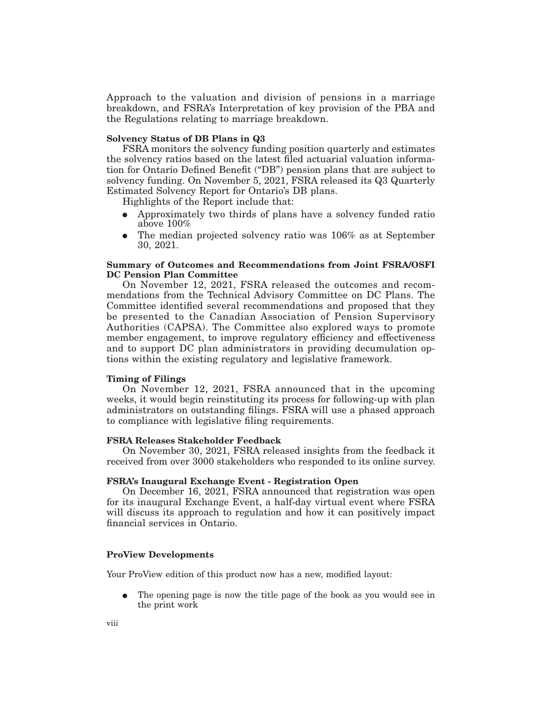Approach to the valuation and division of pensions in a marriage breakdown, and FSRA's Interpretation of key provision of the PBA and the Regulations relating to marriage breakdown.

#### **Solvency Status of DB Plans in Q3**

FSRA monitors the solvency funding position quarterly and estimates the solvency ratios based on the latest filed actuarial valuation information for Ontario Defined Benefit ("DB") pension plans that are subject to solvency funding. On November 5, 2021, FSRA released its Q3 Quarterly Estimated Solvency Report for Ontario's DB plans.

Highlights of the Report include that:

- E Approximately two thirds of plans have a solvency funded ratio above 100%
- $\bullet$  The median projected solvency ratio was 106% as at September 30, 2021.

## **Summary of Outcomes and Recommendations from Joint FSRA/OSFI DC Pension Plan Committee**

On November 12, 2021, FSRA released the outcomes and recommendations from the Technical Advisory Committee on DC Plans. The Committee identified several recommendations and proposed that they be presented to the Canadian Association of Pension Supervisory Authorities (CAPSA). The Committee also explored ways to promote member engagement, to improve regulatory efficiency and effectiveness and to support DC plan administrators in providing decumulation options within the existing regulatory and legislative framework.

## **Timing of Filings**

On November 12, 2021, FSRA announced that in the upcoming weeks, it would begin reinstituting its process for following-up with plan administrators on outstanding filings. FSRA will use a phased approach to compliance with legislative filing requirements.

#### **FSRA Releases Stakeholder Feedback**

On November 30, 2021, FSRA released insights from the feedback it received from over 3000 stakeholders who responded to its online survey.

## **FSRA's Inaugural Exchange Event - Registration Open**

On December 16, 2021, FSRA announced that registration was open for its inaugural Exchange Event, a half-day virtual event where FSRA will discuss its approach to regulation and how it can positively impact financial services in Ontario.

## **ProView Developments**

Your ProView edition of this product now has a new, modified layout:

E The opening page is now the title page of the book as you would see in the print work